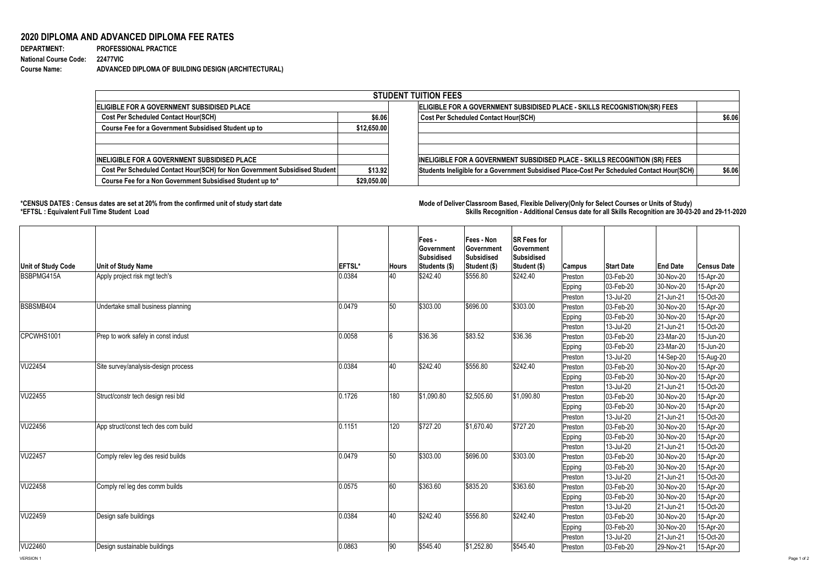## **2020 DIPLOMA AND ADVANCED DIPLOMA FEE RATES**

| <b>DEPARTMENT:</b>           | <b>PROFESSIONAL PRACTICE</b>                        |
|------------------------------|-----------------------------------------------------|
| <b>National Course Code:</b> | <b>22477VIC</b>                                     |
| <b>Course Name:</b>          | ADVANCED DIPLOMA OF BUILDING DESIGN (ARCHITECTURAL) |

## \*CENSUS DATES : Census dates are set at 20% from the confirmed unit of study start date **Mode of Deliver Classroom Based, Flexible Delivery(Only for Select Courses or Units of Study) \*EFTSL : Equivalent Full Time Student Load Skills Recognition - Additional Census date for all Skills Recognition are 30-03-20 and 29-11-2020**

| <b>STUDENT TUITION FEES</b>                                                           |             |                                                                                            |        |  |  |  |
|---------------------------------------------------------------------------------------|-------------|--------------------------------------------------------------------------------------------|--------|--|--|--|
| ELIGIBLE FOR A GOVERNMENT SUBSIDISED PLACE                                            |             | ELIGIBLE FOR A GOVERNMENT SUBSIDISED PLACE - SKILLS RECOGNISTION(SR) FEES                  |        |  |  |  |
| <b>Cost Per Scheduled Contact Hour(SCH)</b>                                           |             | <b>Cost Per Scheduled Contact Hour(SCH)</b>                                                | \$6.06 |  |  |  |
| <b>Course Fee for a Government Subsidised Student up to</b>                           | \$12,650.00 |                                                                                            |        |  |  |  |
| <b>INELIGIBLE FOR A GOVERNMENT SUBSIDISED PLACE</b>                                   |             | INELIGIBLE FOR A GOVERNMENT SUBSIDISED PLACE - SKILLS RECOGNITION (SR) FEES                |        |  |  |  |
| Cost Per Scheduled Contact Hour(SCH) for Non Government Subsidised Student<br>\$13.92 |             | Students Ineligible for a Government Subsidised Place-Cost Per Scheduled Contact Hour(SCH) | \$6.06 |  |  |  |
| Course Fee for a Non Government Subsidised Student up to*                             | \$29,050.00 |                                                                                            |        |  |  |  |

| Unit of Study Code | <b>Unit of Study Name</b>           | <b>EFTSL*</b> | Hours | Fees -<br>∣Government<br>Subsidised<br><b>Students (\$)</b> | Fees - Non<br>∣Government<br><b>Subsidised</b><br><b>Student (\$)</b> | <b>SR Fees for</b><br><b>Government</b><br><b>Subsidised</b><br><b>Student (\$)</b> | <b>Campus</b> | <b>Start Date</b>        | <b>End Date</b> | <b>Census Date</b> |
|--------------------|-------------------------------------|---------------|-------|-------------------------------------------------------------|-----------------------------------------------------------------------|-------------------------------------------------------------------------------------|---------------|--------------------------|-----------------|--------------------|
| BSBPMG415A         | Apply project risk mgt tech's       | 0.0384        | 40    | \$242.40                                                    | \$556.80                                                              | \$242.40                                                                            | Preston       | 03-Feb-20                | 30-Nov-20       | 15-Apr-20          |
|                    |                                     |               |       |                                                             |                                                                       |                                                                                     | Epping        | 03-Feb-20                | 30-Nov-20       | 15-Apr-20          |
|                    |                                     |               |       |                                                             |                                                                       |                                                                                     | Preston       | 13-Jul-20                | 21-Jun-21       | 15-Oct-20          |
| BSBSMB404          | Undertake small business planning   | 0.0479        | 50    | \$303.00                                                    | \$696.00                                                              | \$303.00                                                                            | Preston       | 03-Feb-20                | 30-Nov-20       | 15-Apr-20          |
|                    |                                     |               |       |                                                             |                                                                       |                                                                                     | <b>Epping</b> | $ 03 - \text{Feb} - 20 $ | 30-Nov-20       | 15-Apr-20          |
|                    |                                     |               |       |                                                             |                                                                       |                                                                                     | Preston       | 13-Jul-20                | 21-Jun-21       | 15-Oct-20          |
| CPCWHS1001         | Prep to work safely in const indust | 0.0058        | Ib    | \$36.36                                                     | \$83.52                                                               | \$36.36                                                                             | Preston       | 03-Feb-20                | $ 23$ -Mar-20   | 15-Jun-20          |
|                    |                                     |               |       |                                                             |                                                                       |                                                                                     | <b>Epping</b> | $ 03 - \text{Feb} - 20 $ | 23-Mar-20       | 15-Jun-20          |
|                    |                                     |               |       |                                                             |                                                                       |                                                                                     | Preston       | 13-Jul-20                | 14-Sep-20       | 15-Aug-20          |
| <b>VU22454</b>     | Site survey/analysis-design process | 0.0384        | 40    | \$242.40                                                    | \$556.80                                                              | \$242.40                                                                            | Preston       | 03-Feb-20                | 30-Nov-20       | 15-Apr-20          |
|                    |                                     |               |       |                                                             |                                                                       |                                                                                     | <b>Epping</b> | $ 03 - \text{Feb} - 20 $ | 30-Nov-20       | 15-Apr-20          |
|                    |                                     |               |       |                                                             |                                                                       |                                                                                     | Preston       | 13-Jul-20                | 21-Jun-21       | 15-Oct-20          |
| VU22455            | Struct/constr tech design resi bld  | 0.1726        | 180   | \$1,090.80                                                  | \$2,505.60                                                            | \$1,090.80                                                                          | Preston       | $ 03 - \text{Feb} - 20 $ | 30-Nov-20       | 15-Apr-20          |
|                    |                                     |               |       |                                                             |                                                                       |                                                                                     | Epping        | $ 03 - Feb - 20 $        | 30-Nov-20       | 15-Apr-20          |
|                    |                                     |               |       |                                                             |                                                                       |                                                                                     | Preston       | 13-Jul-20                | 21-Jun-21       | 15-Oct-20          |
| <b>VU22456</b>     | App struct/const tech des com build | 0.1151        | 120   | \$727.20                                                    | \$1,670.40                                                            | \$727.20                                                                            | Preston       | 03-Feb-20                | 30-Nov-20       | 15-Apr-20          |
|                    |                                     |               |       |                                                             |                                                                       |                                                                                     | <b>Epping</b> | 03-Feb-20                | 30-Nov-20       | 15-Apr-20          |
|                    |                                     |               |       |                                                             |                                                                       |                                                                                     | Preston       | 13-Jul-20                | 21-Jun-21       | 15-Oct-20          |
| VU22457            | Comply relev leg des resid builds   | 0.0479        | 50    | \$303.00                                                    | \$696.00                                                              | \$303.00                                                                            | Preston       | 03-Feb-20                | 30-Nov-20       | 15-Apr-20          |
|                    |                                     |               |       |                                                             |                                                                       |                                                                                     | Epping        | 03-Feb-20                | 30-Nov-20       | 15-Apr-20          |
|                    |                                     |               |       |                                                             |                                                                       |                                                                                     | Preston       | 13-Jul-20                | 21-Jun-21       | 15-Oct-20          |
| <b>VU22458</b>     | Comply rel leg des comm builds      | 0.0575        | 60    | \$363.60                                                    | \$835.20                                                              | \$363.60                                                                            | Preston       | 03-Feb-20                | 30-Nov-20       | 15-Apr-20          |
|                    |                                     |               |       |                                                             |                                                                       |                                                                                     | Epping        | $ 03 - \text{Feb} - 20 $ | 30-Nov-20       | 15-Apr-20          |
|                    |                                     |               |       |                                                             |                                                                       |                                                                                     | Preston       | 13-Jul-20                | 21-Jun-21       | 15-Oct-20          |
| VU22459            | Design safe buildings               | 0.0384        | 40    | \$242.40                                                    | \$556.80                                                              | \$242.40                                                                            | Preston       | 03-Feb-20                | 30-Nov-20       | 15-Apr-20          |
|                    |                                     |               |       |                                                             |                                                                       |                                                                                     | Epping        | $ 03 - \text{Feb} - 20 $ | 30-Nov-20       | 15-Apr-20          |
|                    |                                     |               |       |                                                             |                                                                       |                                                                                     | Preston       | 13-Jul-20                | 21-Jun-21       | 15-Oct-20          |
| <b>VU22460</b>     | Design sustainable buildings        | 0.0863        | 90    | \$545.40                                                    | \$1,252.80                                                            | \$545.40                                                                            | Preston       | $ 03 - \text{Feb} - 20 $ | 29-Nov-21       | 15-Apr-20          |